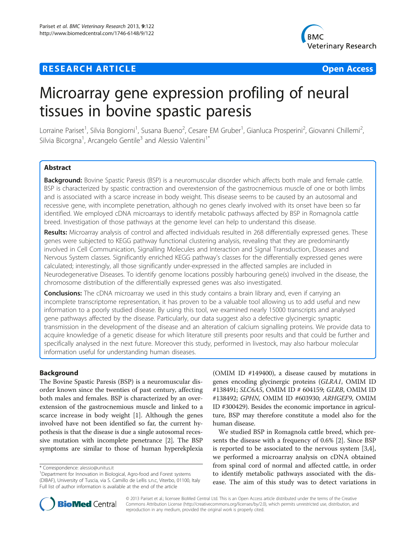## **RESEARCH ARTICLE Example 2014 12:30 The Contract of Contract Contract Contract Contract Contract Contract Contract Contract Contract Contract Contract Contract Contract Contract Contract Contract Contract Contract Contr**



# Microarray gene expression profiling of neural tissues in bovine spastic paresis

Lorraine Pariset<sup>1</sup>, Silvia Bongiorni<sup>1</sup>, Susana Bueno<sup>2</sup>, Cesare EM Gruber<sup>1</sup>, Gianluca Prosperini<sup>2</sup>, Giovanni Chillemi<sup>2</sup> , Silvia Bicorgna<sup>1</sup>, Arcangelo Gentile<sup>3</sup> and Alessio Valentini<sup>1\*</sup>

## Abstract

Background: Bovine Spastic Paresis (BSP) is a neuromuscular disorder which affects both male and female cattle. BSP is characterized by spastic contraction and overextension of the gastrocnemious muscle of one or both limbs and is associated with a scarce increase in body weight. This disease seems to be caused by an autosomal and recessive gene, with incomplete penetration, although no genes clearly involved with its onset have been so far identified. We employed cDNA microarrays to identify metabolic pathways affected by BSP in Romagnola cattle breed. Investigation of those pathways at the genome level can help to understand this disease.

Results: Microarray analysis of control and affected individuals resulted in 268 differentially expressed genes. These genes were subjected to KEGG pathway functional clustering analysis, revealing that they are predominantly involved in Cell Communication, Signalling Molecules and Interaction and Signal Transduction, Diseases and Nervous System classes. Significantly enriched KEGG pathway's classes for the differentially expressed genes were calculated; interestingly, all those significantly under-expressed in the affected samples are included in Neurodegenerative Diseases. To identify genome locations possibly harbouring gene(s) involved in the disease, the chromosome distribution of the differentially expressed genes was also investigated.

**Conclusions:** The cDNA microarray we used in this study contains a brain library and, even if carrying an incomplete transcriptome representation, it has proven to be a valuable tool allowing us to add useful and new information to a poorly studied disease. By using this tool, we examined nearly 15000 transcripts and analysed gene pathways affected by the disease. Particularly, our data suggest also a defective glycinergic synaptic transmission in the development of the disease and an alteration of calcium signalling proteins. We provide data to acquire knowledge of a genetic disease for which literature still presents poor results and that could be further and specifically analysed in the next future. Moreover this study, performed in livestock, may also harbour molecular information useful for understanding human diseases.

## Background

The Bovine Spastic Paresis (BSP) is a neuromuscular disorder known since the twenties of past century, affecting both males and females. BSP is characterized by an overextension of the gastrocnemious muscle and linked to a scarce increase in body weight [[1\]](#page-6-0). Although the genes involved have not been identified so far, the current hypothesis is that the disease is due a single autosomal recessive mutation with incomplete penetrance [[2](#page-6-0)]. The BSP symptoms are similar to those of human hyperekplexia

(OMIM ID #149400), a disease caused by mutations in genes encoding glycinergic proteins (GLRA1, OMIM ID #138491; SLC6A5, OMIM ID # 604159; GLRB, OMIM ID #138492; GPHN, OMIM ID #603930; ARHGEF9, OMIM ID #300429). Besides the economic importance in agriculture, BSP may therefore constitute a model also for the human disease.

We studied BSP in Romagnola cattle breed, which presents the disease with a frequency of 0.6% [\[2\]](#page-6-0). Since BSP is reported to be associated to the nervous system [\[3,4](#page-6-0)], we performed a microarray analysis on cDNA obtained from spinal cord of normal and affected cattle, in order to identify metabolic pathways associated with the disease. The aim of this study was to detect variations in



© 2013 Pariset et al.; licensee BioMed Central Ltd. This is an Open Access article distributed under the terms of the Creative Commons Attribution License [\(http://creativecommons.org/licenses/by/2.0\)](http://creativecommons.org/licenses/by/2.0), which permits unrestricted use, distribution, and reproduction in any medium, provided the original work is properly cited.

<sup>\*</sup> Correspondence: [alessio@unitus.it](mailto:alessio@unitus.it) <sup>1</sup>

<sup>&</sup>lt;sup>1</sup>Department for Innovation in Biological, Agro-food and Forest systems (DIBAF), University of Tuscia, via S. Camillo de Lellis s.n.c, Viterbo, 01100, Italy Full list of author information is available at the end of the article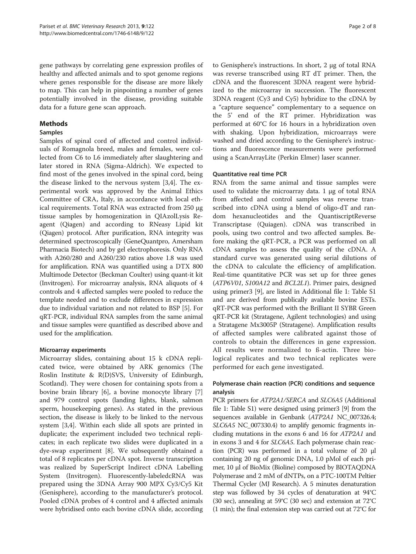gene pathways by correlating gene expression profiles of healthy and affected animals and to spot genome regions where genes responsible for the disease are more likely to map. This can help in pinpointing a number of genes potentially involved in the disease, providing suitable data for a future gene scan approach.

## Methods

#### Samples

Samples of spinal cord of affected and control individuals of Romagnola breed, males and females, were collected from C6 to L6 immediately after slaughtering and later stored in RNA (Sigma-Aldrich). We expected to find most of the genes involved in the spinal cord, being the disease linked to the nervous system [\[3,4](#page-6-0)]. The experimental work was approved by the Animal Ethics Committee of CRA, Italy, in accordance with local ethical requirements. Total RNA was extracted from 250 μg tissue samples by homogenization in QIAzolLysis Reagent (Qiagen) and according to RNeasy Lipid kit (Qiagen) protocol. After purification, RNA integrity was determined spectroscopically (GeneQuantpro, Amersham Pharmacia Biotech) and by gel electrophoresis. Only RNA with A260/280 and A260/230 ratios above 1.8 was used for amplification. RNA was quantified using a DTX 800 Multimode Detector (Beckman Coulter) using quant-it kit (Invitrogen). For microarray analysis, RNA aliquots of 4 controls and 4 affected samples were pooled to reduce the template needed and to exclude differences in expression due to individual variation and not related to BSP [[5\]](#page-6-0). For qRT-PCR, individual RNA samples from the same animal and tissue samples were quantified as described above and used for the amplification.

#### Microarray experiments

Microarray slides, containing about 15 k cDNA replicated twice, were obtained by ARK genomics (The Roslin Institute & R(D)SVS, University of Edinburgh, Scotland). They were chosen for containing spots from a bovine brain library [\[6](#page-6-0)], a bovine monocyte library [\[7](#page-6-0)] and 979 control spots (landing lights, blank, salmon sperm, housekeeping genes). As stated in the previous section, the disease is likely to be linked to the nervous system [[3,4\]](#page-6-0). Within each slide all spots are printed in duplicate; the experiment included two technical replicates; in each replicate two slides were duplicated in a dye-swap experiment [[8\]](#page-6-0). We subsequently obtained a total of 8 replicates per cDNA spot. Inverse transcription was realized by SuperScript Indirect cDNA Labelling System (Invitrogen). Fluorescently-labeledcRNA was prepared using the 3DNA Array 900 MPX Cy3/Cy5 Kit (Genisphere), according to the manufacturer's protocol. Pooled cDNA probes of 4 control and 4 affected animals were hybridised onto each bovine cDNA slide, according

to Genisphere's instructions. In short, 2 μg of total RNA was reverse transcribed using RT dT primer. Then, the cDNA and the fluorescent 3DNA reagent were hybridized to the microarray in succession. The fluorescent 3DNA reagent (Cy3 and Cy5) hybridize to the cDNA by a "capture sequence" complementary to a sequence on the 5' end of the RT primer. Hybridization was performed at 60°C for 16 hours in a hybridization oven with shaking. Upon hybridization, microarrays were washed and dried according to the Genisphere's instructions and fluorescence measurements were performed using a ScanArrayLite (Perkin Elmer) laser scanner.

#### Quantitative real time PCR

RNA from the same animal and tissue samples were used to validate the microarray data. 1 μg of total RNA from affected and control samples was reverse transcribed into cDNA using a blend of oligo-dT and random hexanucleotides and the QuantiscriptReverse Transcriptase (Quiagen). cDNA was transcribed in pools, using two control and two affected samples. Before making the qRT-PCR, a PCR was performed on all cDNA samples to assess the quality of the cDNA. A standard curve was generated using serial dilutions of the cDNA to calculate the efficiency of amplification. Real-time quantitative PCR was set up for three genes (ATP6V01, S100A12 and BCL2L1). Primer pairs, designed using primer3 [[9\]](#page-6-0), are listed in Additional file [1](#page-5-0): Table S1 and are derived from publically available bovine ESTs. qRT-PCR was performed with the Brilliant II SYBR Green qRT-PCR kit (Stratagene, Agilent technologies) and using a Stratagene Mx3005P (Stratagene). Amplification results of affected samples were calibrated against those of controls to obtain the differences in gene expression. All results were normalized to ß-actin. Three biological replicates and two technical replicates were performed for each gene investigated.

## Polymerase chain reaction (PCR) conditions and sequence analysis

PCR primers for ATP2A1/SERCA and SLC6A5 (Additional file [1:](#page-5-0) Table S1) were designed using primer3 [\[9](#page-6-0)] from the sequences available in Genbank (ATP2A1 NC\_007326.4; SLC6A5 NC\_007330.4) to amplify genomic fragments including mutations in the exons 6 and 16 for ATP2A1 and in exons 3 and 4 for SLC6A5. Each polymerase chain reaction (PCR) was performed in a total volume of 20 μl containing 20 ng of genomic DNA, 1.0 pMol of each primer, 10 μl of BioMix (Bioline) composed by BIOTAQDNA Polymerase and 2 mM of dNTPs, on a PTC-100TM Peltier Thermal Cycler (MJ Research). A 5 minutes denaturation step was followed by 34 cycles of denaturation at 94°C (30 sec), annealing at 59°C (30 sec) and extension at 72°C (1 min); the final extension step was carried out at 72°C for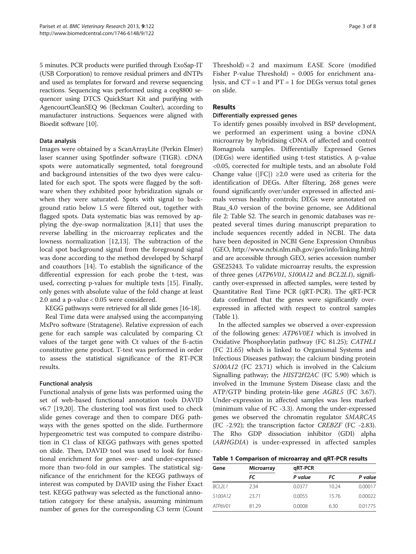<span id="page-2-0"></span>5 minutes. PCR products were purified through ExoSap-IT (USB Corporation) to remove residual primers and dNTPs and used as templates for forward and reverse sequencing reactions. Sequencing was performed using a ceq8800 sequencer using DTCS QuickStart Kit and purifying with AgencourtCleanSEQ 96 (Beckman Coulter), according to manufacturer instructions. Sequences were aligned with Bioedit software [\[10](#page-6-0)].

#### Data analysis

Images were obtained by a ScanArrayLite (Perkin Elmer) laser scanner using Spotfinder software (TIGR). cDNA spots were automatically segmented, total foreground and background intensities of the two dyes were calculated for each spot. The spots were flagged by the software when they exhibited poor hybridization signals or when they were saturated. Spots with signal to background ratio below 1.5 were filtered out, together with flagged spots. Data systematic bias was removed by applying the dye-swap normalization [[8,11\]](#page-6-0) that uses the reverse labelling in the microarray replicates and the lowness normalization [\[12,13\]](#page-6-0). The subtraction of the local spot background signal from the foreground signal was done according to the method developed by Scharpf and coauthors [\[14](#page-6-0)]. To establish the significance of the differential expression for each probe the t-test, was used, correcting p-values for multiple tests [[15](#page-6-0)]. Finally, only genes with absolute value of the fold change at least 2.0 and a p-value < 0.05 were considered.

KEGG pathways were retrieved for all slide genes [\[16-18](#page-6-0)].

Real Time data were analysed using the accompanying MxPro software (Stratagene). Relative expression of each gene for each sample was calculated by comparing Ct values of the target gene with Ct values of the ß-actin constitutive gene product. T-test was performed in order to assess the statistical significance of the RT-PCR results.

#### Functional analysis

Functional analysis of gene lists was performed using the set of web-based functional annotation tools DAVID v6.7 [\[19,20\]](#page-6-0). The clustering tool was first used to check slide genes coverage and then to compare DEG pathways with the genes spotted on the slide. Furthermore hypergeometric test was computed to compare distribution in C1 class of KEGG pathways with genes spotted on slide. Then, DAVID tool was used to look for functional enrichment for genes over- and under-expressed more than two-fold in our samples. The statistical significance of the enrichment for the KEGG pathways of interest was computed by DAVID using the Fisher Exact test. KEGG pathway was selected as the functional annotation category for these analysis, assuming minimum number of genes for the corresponding C3 term (Count

Threshold) = 2 and maximum EASE Score (modified Fisher P-value Threshold) = 0.005 for enrichment analysis, and  $CT = 1$  and  $PT = 1$  for DEGs versus total genes on slide.

#### Results

#### Differentially expressed genes

To identify genes possibly involved in BSP development, we performed an experiment using a bovine cDNA microarray by hybridising cDNA of affected and control Romagnola samples. Differentially Expressed Genes (DEGs) were identified using t-test statistics. A p-value <0.05, corrected for multiple tests, and an absolute Fold Change value ( $|FC|$ ) ≥2.0 were used as criteria for the identification of DEGs. After filtering, 268 genes were found significantly over/under expressed in affected animals versus healthy controls; DEGs were annotated on Btau\_4.0 version of the bovine genome, see Additional file [2:](#page-5-0) Table S2. The search in genomic databases was repeated several times during manuscript preparation to include sequences recently added in NCBI. The data have been deposited in NCBI Gene Expression Omnibus (GEO,<http://www.ncbi.nlm.nih.gov/geo/info/linking.html>) and are accessible through GEO, series accession number GSE25243. To validate microarray results, the expression of three genes (ATP6V01, S100A12 and BCL2L1), significantly over-expressed in affected samples, were tested by Quantitative Real Time PCR (qRT-PCR). The qRT-PCR data confirmed that the genes were significantly overexpressed in affected with respect to control samples (Table 1).

In the affected samples we observed a over-expression of the following genes: ATP6V0E1 which is involved in Oxidative Phosphorylatin pathway (FC 81.25); CATHL1 (FC 21.65) which is linked to Organismal Systems and Infectious Diseases pathway; the calcium binding protein S100A12 (FC 23.71) which is involved in the Calcium Signalling pathway; the HIST2H2AC (FC 5.90) which is involved in the Immune System Disease class; and the ATP/GTP binding protein-like gene AGBL5 (FC 3.67). Under-expression in affected samples was less marked (minimum value of FC -3.3). Among the under-expressed genes we observed the chromatin regulator SMARCA5  $(FC -2.92)$ ; the transcription factor *CREBZF*  $(FC -2.83)$ . The Rho GDP dissociation inhibitor (GDI) alpha (ARHGDIA) is under-expressed in affected samples

Table 1 Comparison of microarray and qRT-PCR results

| Gene                             | <b>Microarray</b> | qRT-PCR |       |         |  |
|----------------------------------|-------------------|---------|-------|---------|--|
|                                  | FC                | P value | FС    | P value |  |
| $BCI$ 21 1                       | 234               | 0.0377  | 10.24 | 0.00017 |  |
| S <sub>100</sub> A <sub>12</sub> | 2371              | 0.0055  | 15.76 | 0.00022 |  |
| ATP6V01                          | 81 29             | 0.0008  | 6.30  | 0.01775 |  |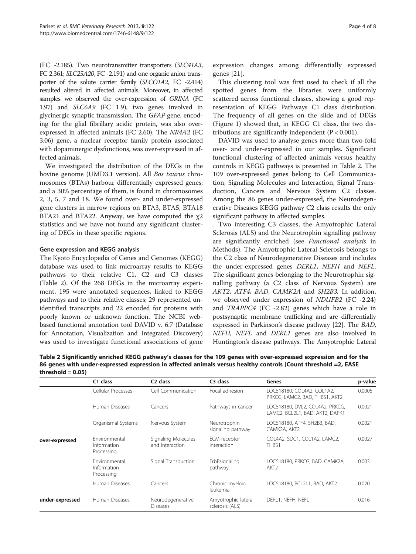(FC -2.185). Two neurotransmitter transporters (SLC41A3, FC 2.361; SLC25A20, FC -2.191) and one organic anion transporter of the solute carrier family (SLCO1A2, FC -2.414) resulted altered in affected animals. Moreover, in affected samples we observed the over-expression of GRINA (FC 1.97) and SLC6A9 (FC 1.9), two genes involved in glycinergic synaptic transmission. The GFAP gene, encoding for the glial fibrillary acidic protein, was also overexpressed in affected animals (FC 2.60). The NR4A2 (FC 3.06) gene, a nuclear receptor family protein associated with dopaminergic dysfunctions, was over-expressed in affected animals.

We investigated the distribution of the DEGs in the bovine genome (UMD3.1 version). All Bos taurus chromosomes (BTAs) harbour differentially expressed genes; and a 30% percentage of them, is found in chromosomes 2, 3, 5, 7 and 18. We found over- and under-expressed gene clusters in narrow regions on BTA3, BTA5, BTA18 BTA21 and BTA22. Anyway, we have computed the  $\chi$ 2 statistics and we have not found any significant clustering of DEGs in these specific regions.

#### Gene expression and KEGG analysis

The Kyoto Encyclopedia of Genes and Genomes (KEGG) database was used to link microarray results to KEGG pathways to their relative C1, C2 and C3 classes (Table 2). Of the 268 DEGs in the microarray experiment, 195 were annotated sequences, linked to KEGG pathways and to their relative classes; 29 represented unidentified transcripts and 22 encoded for proteins with poorly known or unknown function. The NCBI webbased functional annotation tool DAVID v. 6.7 (Database for Annotation, Visualization and Integrated Discovery) was used to investigate functional associations of gene expression changes among differentially expressed genes [\[21\]](#page-6-0).

This clustering tool was first used to check if all the spotted genes from the libraries were uniformly scattered across functional classes, showing a good representation of KEGG Pathways C1 class distribution. The frequency of all genes on the slide and of DEGs (Figure [1](#page-4-0)) showed that, in KEGG C1 class, the two distributions are significantly independent (P < 0.001).

DAVID was used to analyse genes more than two-fold over- and under-expressed in our samples. Significant functional clustering of affected animals versus healthy controls in KEGG pathways is presented in Table 2. The 109 over-expressed genes belong to Cell Communication, Signaling Molecules and Interaction, Signal Transduction, Cancers and Nervous System C2 classes. Among the 86 genes under-expressed, the Neurodegenerative Diseases KEGG pathway C2 class results the only significant pathway in affected samples.

Two interesting C3 classes, the Amyotrophic Lateral Sclerosis (ALS) and the Neurotrophin signalling pathway are significantly enriched (see [Functional analysis](#page-2-0) in Methods). The Amyotrophic Lateral Sclerosis belongs to the C2 class of Neurodegenerative Diseases and includes the under-expressed genes DERL1, NEFH and NEFL. The significant genes belonging to the Neurotrophin signalling pathway (a C2 class of Nervous System) are AKT2, ATF4, BAD, CAMK2A and SH2B3. In addition, we observed under expression of NDUFB2 (FC -2.24) and TRAPPC4 (FC -2.82) genes which have a role in postsynaptic membrane trafficking and are differentially expressed in Parkinson's disease pathway [\[22\]](#page-6-0). The BAD, NEFH, NEFL and DERL1 genes are also involved in Huntington's disease pathways. The Amyotrophic Lateral

| Table 2 Significantly enriched KEGG pathway's classes for the 109 genes with over-expressed expression and for the |
|--------------------------------------------------------------------------------------------------------------------|
| 86 genes with under-expressed expression in affected animals versus healthy controls (Count threshold =2, EASE     |
| threshold $= 0.05$ )                                                                                               |

|                 | C1 class                                   | C <sub>2</sub> class                   | C <sub>3</sub> class                   | Genes                                                              | p-value |
|-----------------|--------------------------------------------|----------------------------------------|----------------------------------------|--------------------------------------------------------------------|---------|
|                 | Cellular Processes                         | Cell Communication                     | Focal adhesion                         | LOC518180, COL4A2, COL1A2,<br>PRKCG, LAMC2, BAD, THBS1, AKT2       | 0.0005  |
|                 | Human Diseases                             | Cancers                                | Pathways in cancer                     | LOC518180, DVL2, COL4A2, PRKCG,<br>LAMC2, BCL2L1, BAD, AKT2, DAPK1 | 0.0021  |
|                 | Organismal Systems                         | Nervous System                         | Neurotrophin<br>signaling pathway      | LOC518180, ATF4, SH2B3, BAD,<br>CAMK2A, AKT2                       | 0.0021  |
| over-expressed  | Environmental<br>Information<br>Processing | Signaling Molecules<br>and Interaction | ECM-receptor<br>interaction            | COL4A2, SDC1, COL1A2, LAMC2,<br>THBS1                              | 0.0027  |
|                 | Fnvironmental<br>Information<br>Processing | Signal Transduction                    | ErbBsignaling<br>pathway               | LOC518180, PRKCG, BAD, CAMK2A,<br>AKT <sub>2</sub>                 | 0.0031  |
|                 | Human Diseases                             | Cancers                                | Chronic myeloid<br>leukemia            | LOC518180, BCL2L1, BAD, AKT2                                       | 0.020   |
| under-expressed | Human Diseases                             | Neurodegenerative<br><b>Diseases</b>   | Amyotrophic lateral<br>sclerosis (ALS) | DERL1, NEFH, NEFL                                                  | 0.016   |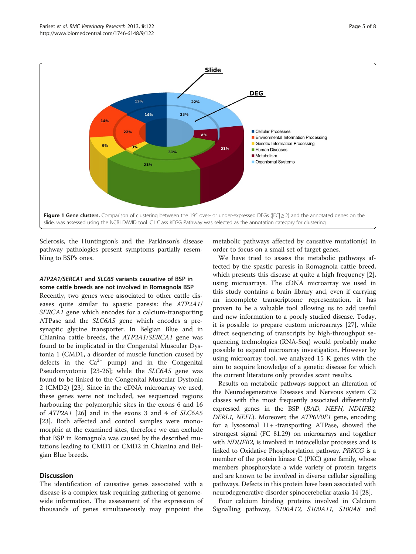<span id="page-4-0"></span>

Figure 1 Gene clusters. Comparison of clustering between the 195 over- or under-expressed DEGs ( $|FC| \ge 2$ ) and the annotated genes on the slide, was assessed using the NCBI DAVID tool. C1 Class KEGG Pathway was selected as the annotation category for clustering.

Sclerosis, the Huntington's and the Parkinson's disease pathway pathologies present symptoms partially resembling to BSP's ones.

#### ATP2A1/SERCA1 and SLC65 variants causative of BSP in some cattle breeds are not involved in Romagnola BSP

Recently, two genes were associated to other cattle diseases quite similar to spastic paresis: the ATP2A1/ SERCA1 gene which encodes for a calcium-transporting ATPase and the SLC6A5 gene which encodes a presynaptic glycine transporter. In Belgian Blue and in Chianina cattle breeds, the ATP2A1/SERCA1 gene was found to be implicated in the Congenital Muscular Dystonia 1 (CMD1, a disorder of muscle function caused by defects in the  $Ca^{2+}$  pump) and in the Congenital Pseudomyotonia [[23-26](#page-6-0)]; while the SLC6A5 gene was found to be linked to the Congenital Muscular Dystonia 2 (CMD2) [[23\]](#page-6-0). Since in the cDNA microarray we used, these genes were not included, we sequenced regions harbouring the polymorphic sites in the exons 6 and 16 of ATP2A1 [[26\]](#page-6-0) and in the exons 3 and 4 of SLC6A5 [[23\]](#page-6-0). Both affected and control samples were monomorphic at the examined sites, therefore we can exclude that BSP in Romagnola was caused by the described mutations leading to CMD1 or CMD2 in Chianina and Belgian Blue breeds.

## **Discussion**

The identification of causative genes associated with a disease is a complex task requiring gathering of genomewide information. The assessment of the expression of thousands of genes simultaneously may pinpoint the metabolic pathways affected by causative mutation(s) in order to focus on a small set of target genes.

We have tried to assess the metabolic pathways affected by the spastic paresis in Romagnola cattle breed, which presents this disease at quite a high frequency [\[2](#page-6-0)], using microarrays. The cDNA microarray we used in this study contains a brain library and, even if carrying an incomplete transcriptome representation, it has proven to be a valuable tool allowing us to add useful and new information to a poorly studied disease. Today, it is possible to prepare custom microarrays [[27\]](#page-6-0), while direct sequencing of transcripts by high-throughput sequencing technologies (RNA-Seq) would probably make possible to expand microarray investigation. However by using microarray tool, we analyzed 15 K genes with the aim to acquire knowledge of a genetic disease for which the current literature only provides scant results.

Results on metabolic pathways support an alteration of the Neurodegenerative Diseases and Nervous system C2 classes with the most frequently associated differentially expressed genes in the BSP (BAD, NEFH, NDUFB2, DERL1, NEFL). Moreover, the ATP6V0E1 gene, encoding for a lysosomal H + -transporting ATPase, showed the strongest signal (FC 81.29) on microarrays and together with *NDUFB2*, is involved in intracellular processes and is linked to Oxidative Phosphorylation pathway. PRKCG is a member of the protein kinase C (PKC) gene family, whose members phosphorylate a wide variety of protein targets and are known to be involved in diverse cellular signalling pathways. Defects in this protein have been associated with neurodegenerative disorder spinocerebellar ataxia-14 [[28](#page-6-0)].

Four calcium binding proteins involved in Calcium Signalling pathway, S100A12, S100A11, S100A8 and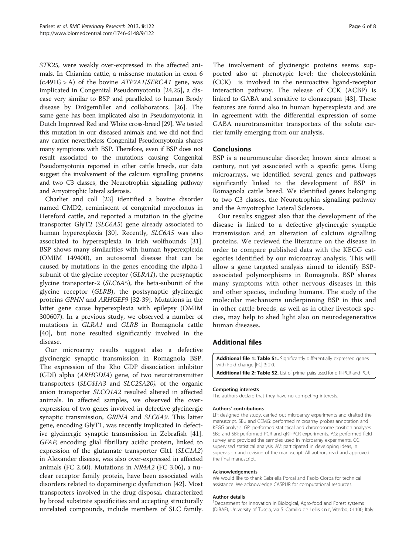<span id="page-5-0"></span>STK25, were weakly over-expressed in the affected animals. In Chianina cattle, a missense mutation in exon 6  $(c.491G > A)$  of the bovine  $ATP2A1/SERCA1$  gene, was implicated in Congenital Pseudomyotonia [[24,25](#page-6-0)], a disease very similar to BSP and paralleled to human Brody disease by Drögemüller and collaborators, [[26\]](#page-6-0). The same gene has been implicated also in Pseudomyotonia in Dutch Improved Red and White cross-breed [[29\]](#page-6-0). We tested this mutation in our diseased animals and we did not find any carrier nevertheless Congenital Pseudomyotonia shares many symptoms with BSP. Therefore, even if BSP does not result associated to the mutations causing Congenital Pseudomyotonia reported in other cattle breeds, our data suggest the involvement of the calcium signalling proteins and two C3 classes, the Neurotrophin signalling pathway and Amyotrophic lateral sclerosis.

Charlier and coll [\[23](#page-6-0)] identified a bovine disorder named CMD2, reminiscent of congenital myoclonus in Hereford cattle, and reported a mutation in the glycine transporter GlyT2 (SLC6A5) gene already associated to human hyperexplexia [[30](#page-6-0)]. Recently, SLC6A5 was also associated to hyperexplexia in Irish wolfhounds [\[31](#page-6-0)]. BSP shows many similarities with human hyperexplexia (OMIM 149400), an autosomal disease that can be caused by mutations in the genes encoding the alpha-1 subunit of the glycine receptor (GLRA1), the presynaptic glycine transporter-2 (SLC6A5), the beta-subunit of the glycine receptor (GLRB), the postsynaptic glycinergic proteins GPHN and ARHGEF9 [[32-](#page-6-0)[39](#page-7-0)]. Mutations in the latter gene cause hyperexplexia with epilepsy (OMIM 300607). In a previous study, we observed a number of mutations in GLRA1 and GLRB in Romagnola cattle [[40\]](#page-7-0), but none resulted significantly involved in the disease.

Our microarray results suggest also a defective glycinergic synaptic transmission in Romagnola BSP. The expression of the Rho GDP dissociation inhibitor (GDI) alpha (ARHGDIA) gene, of two neurotransmitter transporters (SLC41A3 and SLC25A20), of the organic anion transporter SLCO1A2 resulted altered in affected animals. In affected samples, we observed the overexpression of two genes involved in defective glycinergic synaptic transmission, GRINA and SLC6A9. This latter gene, encoding GlyT1, was recently implicated in defective glycinergic synaptic transmission in Zebrafish [\[41](#page-7-0)]. GFAP, encoding glial fibrillary acidic protein, linked to expression of the glutamate transporter Glt1 (SLC1A2) in Alexander disease, was also over-expressed in affected animals (FC 2.60). Mutations in NR4A2 (FC 3.06), a nuclear receptor family protein, have been associated with disorders related to dopaminergic dysfunction [\[42](#page-7-0)]. Most transporters involved in the drug disposal, characterized by broad substrate specificities and accepting structurally unrelated compounds, include members of SLC family.

The involvement of glycinergic proteins seems supported also at phenotypic level: the cholecystokinin (CCK) is involved in the neuroactive ligand-receptor interaction pathway. The release of CCK (ACBP) is linked to GABA and sensitive to clonazepam [[43\]](#page-7-0). These features are found also in human hyperexplexia and are in agreement with the differential expression of some GABA neurotransmitter transporters of the solute carrier family emerging from our analysis.

## Conclusions

BSP is a neuromuscular disorder, known since almost a century, not yet associated with a specific gene. Using microarrays, we identified several genes and pathways significantly linked to the development of BSP in Romagnola cattle breed. We identified genes belonging to two C3 classes, the Neurotrophin signalling pathway and the Amyotrophic Lateral Sclerosis.

Our results suggest also that the development of the disease is linked to a defective glycinergic synaptic transmission and an alteration of calcium signalling proteins. We reviewed the literature on the disease in order to compare published data with the KEGG categories identified by our microarray analysis. This will allow a gene targeted analysis aimed to identify BSPassociated polymorphisms in Romagnola. BSP shares many symptoms with other nervous diseases in this and other species, including humans. The study of the molecular mechanisms underpinning BSP in this and in other cattle breeds, as well as in other livestock species, may help to shed light also on neurodegenerative human diseases.

## Additional files

[Additional file 1: Table S1.](http://www.biomedcentral.com/content/supplementary/1746-6148-9-122-S1.docx) Significantly differentially expressed genes with Fold change |FC| ≥ 2.0 [Additional file 2: Table S2.](http://www.biomedcentral.com/content/supplementary/1746-6148-9-122-S2.docx) List of primer pairs used for qRT-PCR and PCR.

#### Competing interests

The authors declare that they have no competing interests.

#### Authors' contributions

LP: designed the study, carried out microarray experiments and drafted the manuscript. SBu and CEMG: performed microarray probes annotation and KEGG analysis. GP: performed statistical and chromosome position analyses. SBo and SBi: performed PCR and qRT-PCR experiments. AG: performed field survey and provided the samples used in microarray experiments. GC supervised statistical analysis. AV: participated in developing ideas, in supervision and revision of the manuscript. All authors read and approved the final manuscript.

#### Acknowledgements

We would like to thank Gabriella Porcai and Paolo Ciorba for technical assistance. We acknowledge CASPUR for computational resources.

#### Author details

<sup>1</sup>Department for Innovation in Biological, Agro-food and Forest systems (DIBAF), University of Tuscia, via S. Camillo de Lellis s.n.c, Viterbo, 01100, Italy.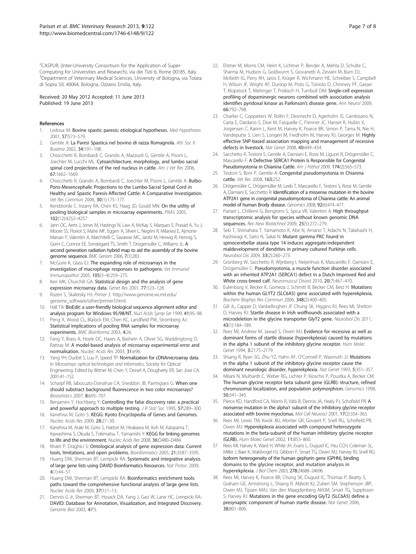<span id="page-6-0"></span><sup>2</sup>CASPUR, (Inter-University Consortium for the Application of Super-Computing for Universities and Research), via dei Tizii 6, Rome 00185, Italy. <sup>3</sup>Department of Veterinary Medical Sciences, University of Bologna, via Tolara di Sopra 50, 40064, Bologna, Ozzano Emilia, Italy.

#### Received: 20 May 2012 Accepted: 11 June 2013 Published: 19 June 2013

#### References

- 1. Ledoux M: Bovine spastic paresis: etiological hypotheses. Med Hypotheses 2001, 57:573–579.
- 2. Gentile A: La Paresi Spastica nel bovino di razza Romagnola. Atti Soc It Buiatria 2002, 34:191–198.
- 3. Chiocchetti R, Bombardi C, Grandis A, Mazzuoli G, Gentile A, Pisoni L, Joechler M, Lucchi ML: Cytoarchitecture, morphology, and lumbo sacral spinal cord projections of the red nucleus in cattle. Am J Vet Res 2006, 67:1662–1669.
- Chiocchetti R, Grandis A, Bombardi C, Joechler M, Pisoni L, Gentile A: Bulbo-Pons-Mesencephalic Projections to the Lumbo-Sacral Spinal Cord in Healthy and Spastic Paresis-Affected Cattle: A Comparative Investigation. Vet Res Commun 2006, 30(1):175–177.
- 5. Kendziorski C, Irizarry RA, Chen KS, Haag JD, Gould MN: On the utility of pooling biological samples in microarray experiments. PNAS 2005, 102(12):4252–4257.
- Jann OC, Aerts J, Jones M, Hastings N, Law A, McKay S, Marques E, Prasad A, Yu J, Moore SS, Floriot S, Mahe MF, Eggen A, Silveri L, Negrini R, Milanesi E, Ajmone-Marsan P, Valentini A, Marchitelli C, Savarese MC, Janitz M, Herwig R, Hennig S, Gorni C, Connor EE, Sonstegard TS, Smith T, Drogemuller C, Williams JL: A second generation radiation hybrid map to aid the assembly of the bovine genome sequence. BMC Genom 2006, 7(1):283.
- 7. McGuire K, Glass EJ: The expanding role of microarrays in the investigation of macrophage responses to pathogens. Vet Immunol Immunopathol 2005, 105(3–4):259–275.
- 8. Kerr MK, Churchill GA: Statistical design and the analysis of gene expression microarray data. Genet Res 2001, 77:123–128.
- 9. Rozen S, Skaletsky HJ: Primer 3. [http://www.genome.wi.mit.edu/](http://www.genome.wi.mit.edu/genome_software/other/primer3.html) [genome\\_software/other/primer3.html](http://www.genome.wi.mit.edu/genome_software/other/primer3.html).
- 10. Hall TA: BioEdit: a user-friendly biological sequence alignment editor and analysis program for Windows 95/98/NT. Nucl Acids Symp Ser 1999, 41:95–98.
- 11. Peng X, Wood CL, Blalock EM, Chen KC, Landfield PW, Stromberg AJ: Statistical implications of pooling RNA samples for microarray experiments. BMC Bioinforma 2003, 4:26.
- 12. Fang Y, Brass A, Hoyle DC, Hayes A, Bashein A, Oliver SG, Waddingtong D, Rattray M: A model-based analysis of microarray experimental error and normalisation. Nucleic Acids Res 2003, 31:e96.
- 13. Yang YH, Dudoit S, Luu P, Speed TP: Normalization for cDNAmicroarray data. In Microarrays: optical technologies and informatics, Society for Optical Engineering. Edited by Bittner M, Chen Y, Dorsel A, Dougherty ER, San Jose CA. 2001:41–152.
- 14. Scharpf RB, Iabocuzio-Donahue CA, Sneddon JB, Parmigiani G: When one should substract background fluorescence in two color microarrays? Biostatistics 2007, 8:695–707.
- 15. Benjamini Y, Hochberg Y: Controlling the false discovery rate: a practical and powerful approach to multiple testing. J R Stat Soc 1995, 57:289-300.
- 16. Kanehisa M, Goto S: KEGG: Kyoto Encyclopedia of Genes and Genomes. Nucleic Acids Res 2000, 28:27–30.
- 17. Kanehisa M, Araki M, Goto S, Hattori M, Hirakawa M, Itoh M, Katayama T, Kawashima S, Okuda S, Tokimatsu T, Yamanishi Y: KEGG for linking genomes to life and the environment. Nucleic Acids Res 2008, 36:D480–D484.
- 18. Khatri P, Draghici S: Ontological analysis of gene expression data: Current tools, limitations, and open problems. Bioinformatics 2005, 21:3587–3595.
- 19. Huang DW, Sherman BT, Lempicki RA: Systematic and integrative analysis of large gene lists using DAVID Bioinformatics Resources. Nat Protoc 2009, 4(1):44–57.
- 20. Huang DW, Sherman BT, Lempicki RA: Bioinformatics enrichment tools: paths toward the comprehensive functional analysis of large gene lists. Nucleic Acids Res 2009, 37(1):1–13.
- 21. Dennis G Jr, Sherman BT, Hosack DA, Yang J, Gao W, Lane HC, Lempicki RA: DAVID: Database for Annotation, Visualization, and Integrated Discovery. Genome Biol 2003, 4:P3.
- 22. Elstner M, Morris CM, Heim K, Lichtner P, Bender A, Mehta D, Schulte C, Sharma M, Hudson G, Goldwurm S, Giovanetti A, Zeviani M, Burn DJ, McKeith IG, Perry RH, Jaros E, Krüger R, Wichmann HE, Schreiber S, Campbell H, Wilson JF, Wright AF, Dunlop M, Pistis G, Toniolo D, Chinnery PF, Gasser T, Klopstock T, Meitinger T, Prokisch H, Turnbull DM: Single-cell expression profiling of dopaminergic neurons combined with association analysis identifies pyridoxal kinase as Parkinson's disease gene. Ann Neurol 2009, 66:792–798.
- 23. Charlier C, Coppieters W, Rollin F, Desmecht D, Agerholm JS, Cambisano N, Carta E, Dardano S, Dive M, Fasquelle C, Frennet JC, Hanset R, Hubin X, Jorgensen C, Karim L, Kent M, Harvey K, Pearce BR, Simon P, Tama N, Nie H, Vandeputte S, Lien S, Longeri M, Fredholm M, Harvey RJ, Georges M: Highly effective SNP-based association mapping and management of recessive defects in livestock. Nat Genet 2008, 40:449–454.
- 24. Sacchetto R, Testoni S, Gentile A, Damiani E, Rossi M, Liguori R, Drögemüller C, Mascarello F: A Defective SERCA1 Protein Is Responsible for Congenital Pseudomyotonia in Chianina Cattle. Am J Pathol 2009, 174(2):565–573.
- 25. Testoni S, Boni P, Gentile A: Congenital pseudomyotonia in Chianina cattle. Vet Rec 2008, 163:252.
- 26. Drögemüller C, Drögemüller M, Leeb T, Mascarello F, Testoni S, Rossi M, Gentile A, Damiani E, Sacchetto R: Identification of a missense mutation in the bovine ATP2A1 gene in congenital pseudomyotonia of Chianina cattle: An animal model of human Brody disease. Genomics 2008, 92(6):474–477.
- 27. Pariset L, Chillemi G, Bongiorni S, Spica VR, Valentini A: High throughput transcriptomic analysis for species without known genomic DNA sequences. Rev New Biotechnol 2009, 25(5):272–279.
- 28. Seki T, Shimahara T, Yamamoto K, Abe N, Amano T, Adachi N, Takahashi H, Kashiwagi K, Saito N, Sakai N: Mutant gamma PKC found in spinocerebellar ataxia type 14 induces aggregate-independent maldevelopment of dendrites in primary cultured Purkinje cells. Neurobiol Dis 2009, 33(2):260–273.
- 29. Grünberg W, Sacchetto R, Wijnberg I, Neijenhuis K, Mascarello F, Damiani E, Drögemüller C: Pseudomyotonia, a muscle function disorder associated with an inherited ATP2A1 (SERCA1) defect in a Dutch Improved Red and White cross-breed calf. Neuromuscul Disord 2010, 20(7):467-470.
- 30. Eulenburg V, Becker K, Gomeza J, Schmitt B, Becker CM, Betz H: Mutations within the human GLYT2 (SLC6A5) gene associated with hyperekplexia. Biochem Biophys Res Commun 2006, 348(2):400–405.
- 31. Gill JL, Capper D, Vanbellinghen JF Chung SK, Higgins RJ, Rees MI, Shelton D, Harvey RJ: Startle disease in Irish wolfhounds associated with a microdeletion in the glycine transporter GlyT2 gene. Neurobiol Dis 2011, 43(1):184–189.
- 32. Rees MI, Andrew M, Jawad S, Owen MJ: Evidence for recessive as well as dominant forms of startle disease (hyperekplexia) caused by mutations in the alpha 1 subunit of the inhibitory glycine receptor. Hum Molec Genet 1994, 3:2175–2179.
- 33. Shiang R, Ryan SG, Zhu YZ, Hahn AF, O'Connell P, Wasmuth JJ: Mutations in the alpha 1 subunit of the inhibitory glycine receptor cause the dominant neurologic disorder, hyperekplexia. Nat Genet 1993, 5:351–357.
- 34. Milani N, Mulhardt C, Weber RG, Lichter P, Kioschis P, Poustka A, Becker CM: The human glycine receptor beta subunit gene (GLRB): structure, refined chromosomal localization, and population polymorphism. Genomics 1998, 50:341–345.
- 35. Pierce KD, Handford CA, Morris R, Vafa B, Dennis JA, Healy PJ, Schofield PR: A nonsense mutation in the alpha1 subunit of the inhibitory glycine receptor associated with bovine myoclonus. Mol Cell Neurosci 2001, 17(2):354–363.
- 36. Rees MI, Lewis TM, Kwok JBJ, Mortier GR, Govaert P, Snell RG, Schofield PR, Owen MJ: Hyperekplexia associated with compound heterozygote mutations in the beta-subunit of the human inhibitory glycine receptor (GLRB). Hum Molec Genet 2002, 11:853–860.
- 37. Rees MI, Harvey K, Ward H, White JH, Evans L, Duguid IC, Hsu CCH, Coleman SL, Miller J, Baer K, Waldvogel HJ, Gibbon F, Smart TG, Owen MJ, Harvey RJ, Snell RG: Isoform heterogeneity of the human gephyrin gene (GPHN), binding domains to the glycine receptor, and mutation analysis in hyperekplexia. J Biol Chem 2003, 278:24688–24696.
- 38. Rees MI, Harvey K, Pearce BR, Chung SK, Duguid IC, Thomas P, Beatty S, Graham GE, Armstrong L, Shiang R, Abbott KJ, Zuberi SM, Stephenson JBP, Owen MJ, Tijssen MAJ, Van den Maagdenberg AMJM, Smart TG, Supplisson S, Harvey RJ: Mutations in the gene encoding GlyT2 (SLC6A5) define a presynaptic component of human startle disease. Nat Genet 2006, 38:801–806.